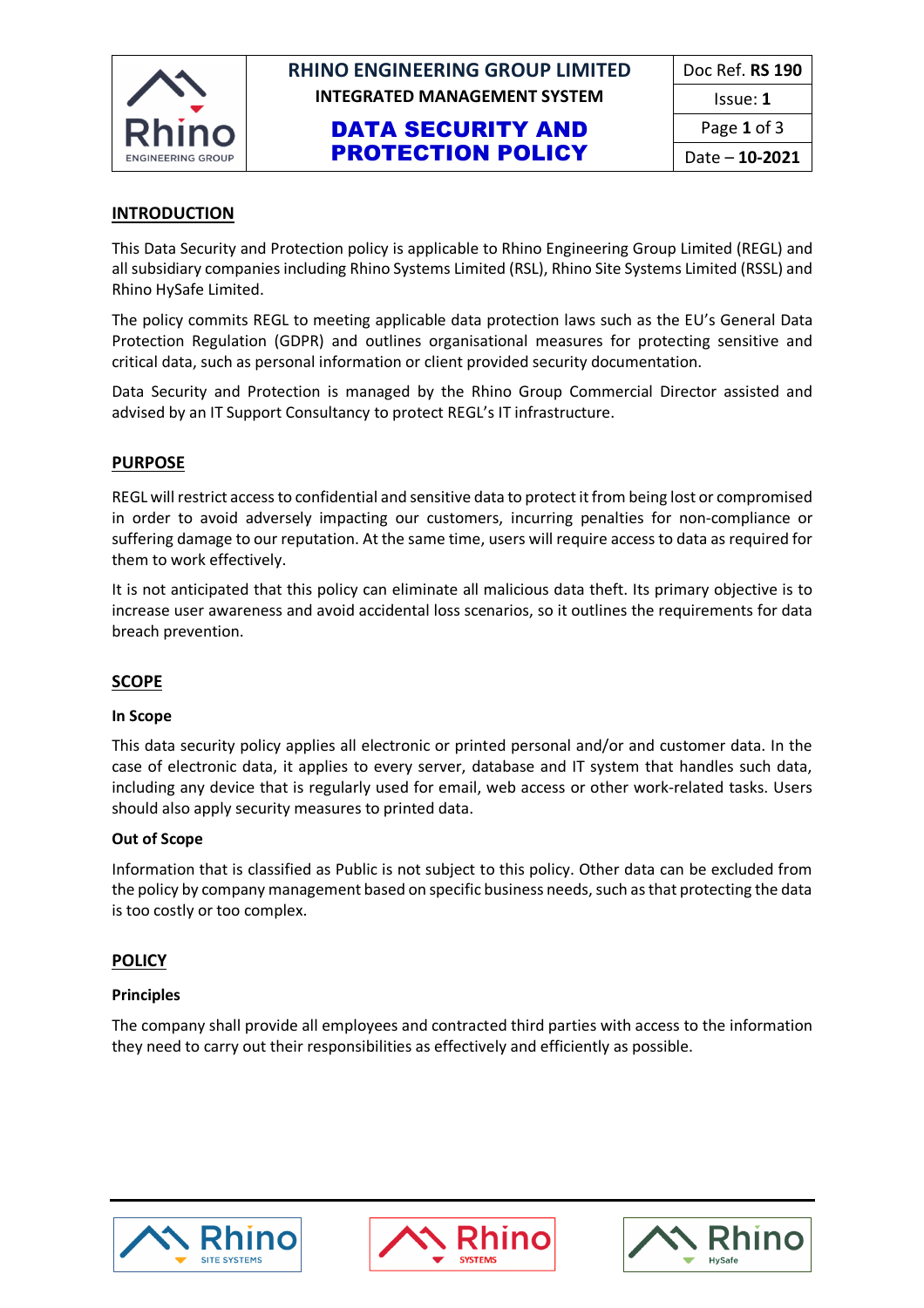

## **RHINO ENGINEERING GROUP LIMITED INTEGRATED MANAGEMENT SYSTEM**

## DATA SECURITY AND PROTECTION POLICY

| Doc Ref. <b>RS 190</b> |
|------------------------|
| Issue: 1               |
| Page 1 of 3            |
| Date – 10-2021         |

### **INTRODUCTION**

This Data Security and Protection policy is applicable to Rhino Engineering Group Limited (REGL) and all subsidiary companies including Rhino Systems Limited (RSL), Rhino Site Systems Limited (RSSL) and Rhino HySafe Limited.

The policy commits REGL to meeting applicable data protection laws such as the EU's General Data Protection Regulation (GDPR) and outlines organisational measures for protecting sensitive and critical data, such as personal information or client provided security documentation.

Data Security and Protection is managed by the Rhino Group Commercial Director assisted and advised by an IT Support Consultancy to protect REGL's IT infrastructure.

#### **PURPOSE**

REGL will restrict access to confidential and sensitive data to protect it from being lost or compromised in order to avoid adversely impacting our customers, incurring penalties for non-compliance or suffering damage to our reputation. At the same time, users will require access to data as required for them to work effectively.

It is not anticipated that this policy can eliminate all malicious data theft. Its primary objective is to increase user awareness and avoid accidental loss scenarios, so it outlines the requirements for data breach prevention.

#### **SCOPE**

#### **In Scope**

This data security policy applies all electronic or printed personal and/or and customer data. In the case of electronic data, it applies to every server, database and IT system that handles such data, including any device that is regularly used for email, web access or other work-related tasks. Users should also apply security measures to printed data.

#### **Out of Scope**

Information that is classified as Public is not subject to this policy. Other data can be excluded from the policy by company management based on specific business needs, such as that protecting the data is too costly or too complex.

#### **POLICY**

#### **Principles**

The company shall provide all employees and contracted third parties with access to the information they need to carry out their responsibilities as effectively and efficiently as possible.





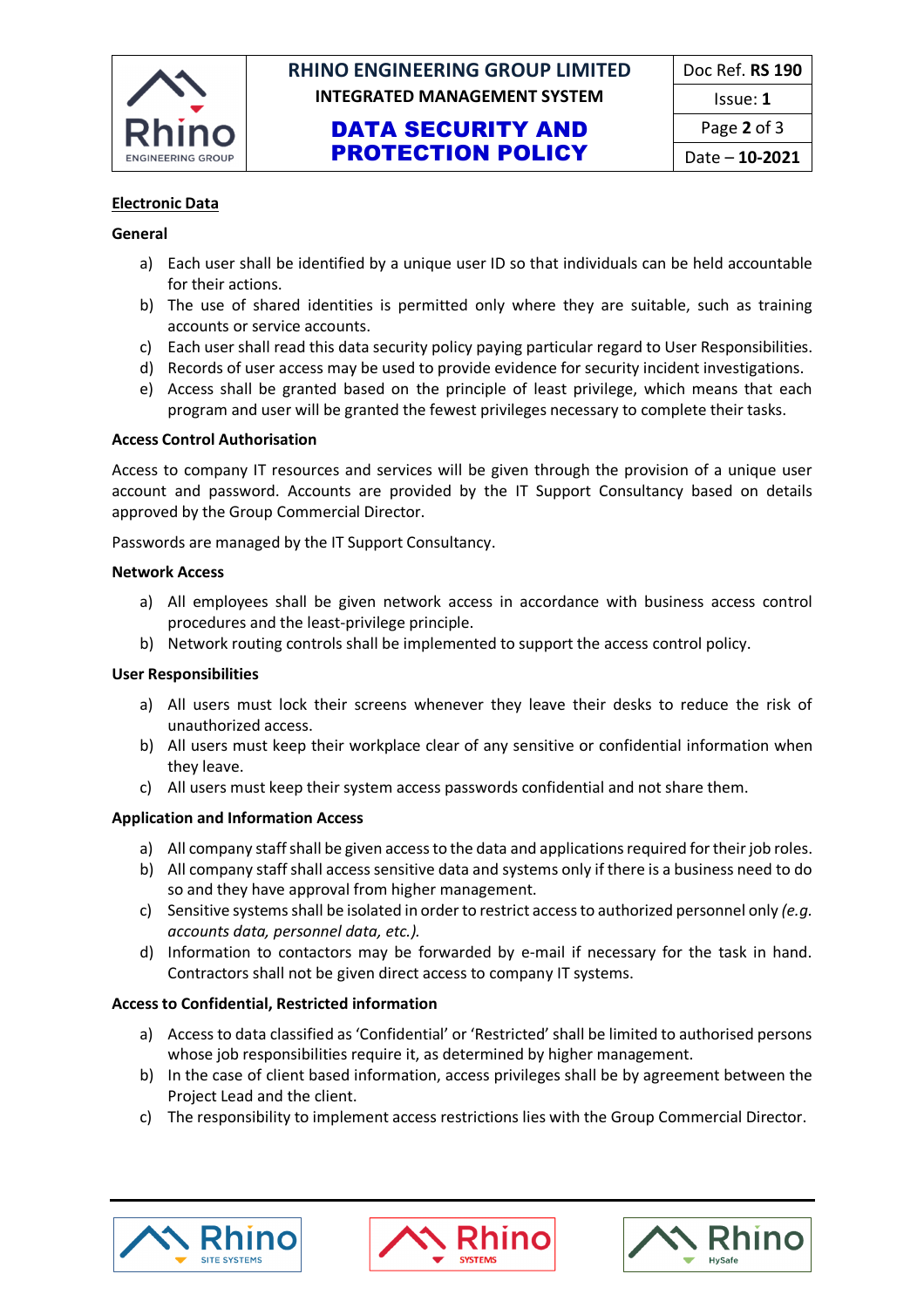

# **RHINO ENGINEERING GROUP LIMITED** Doc Ref. **RS 190 INTEGRATED MANAGEMENT SYSTEM ISSUE: 1**

### DATA SECURITY AND PROTECTION POLICY

#### **Electronic Data**

#### **General**

- a) Each user shall be identified by a unique user ID so that individuals can be held accountable for their actions.
- b) The use of shared identities is permitted only where they are suitable, such as training accounts or service accounts.
- c) Each user shall read this data security policy paying particular regard to User Responsibilities.
- d) Records of user access may be used to provide evidence for security incident investigations.
- e) Access shall be granted based on the principle of least privilege, which means that each program and user will be granted the fewest privileges necessary to complete their tasks.

#### **Access Control Authorisation**

Access to company IT resources and services will be given through the provision of a unique user account and password. Accounts are provided by the IT Support Consultancy based on details approved by the Group Commercial Director.

Passwords are managed by the IT Support Consultancy.

#### **Network Access**

- a) All employees shall be given network access in accordance with business access control procedures and the least-privilege principle.
- b) Network routing controls shall be implemented to support the access control policy.

#### **User Responsibilities**

- a) All users must lock their screens whenever they leave their desks to reduce the risk of unauthorized access.
- b) All users must keep their workplace clear of any sensitive or confidential information when they leave.
- c) All users must keep their system access passwords confidential and not share them.

#### **Application and Information Access**

- a) All company staff shall be given access to the data and applications required for their job roles.
- b) All company staff shall access sensitive data and systems only if there is a business need to do so and they have approval from higher management.
- c) Sensitive systems shall be isolated in order to restrict access to authorized personnel only *(e.g. accounts data, personnel data, etc.).*
- d) Information to contactors may be forwarded by e-mail if necessary for the task in hand. Contractors shall not be given direct access to company IT systems.

#### **Access to Confidential, Restricted information**

- a) Access to data classified as 'Confidential' or 'Restricted' shall be limited to authorised persons whose job responsibilities require it, as determined by higher management.
- b) In the case of client based information, access privileges shall be by agreement between the Project Lead and the client.
- c) The responsibility to implement access restrictions lies with the Group Commercial Director.